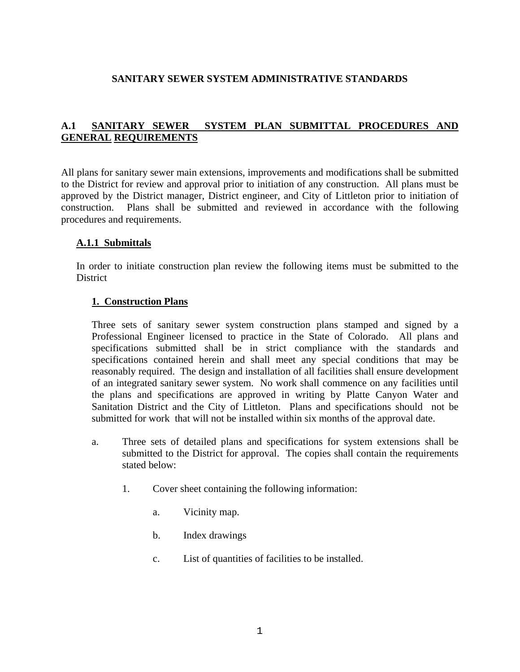### **SANITARY SEWER SYSTEM ADMINISTRATIVE STANDARDS**

## **A.1 SANITARY SEWER SYSTEM PLAN SUBMITTAL PROCEDURES AND GENERAL REQUIREMENTS**

All plans for sanitary sewer main extensions, improvements and modifications shall be submitted to the District for review and approval prior to initiation of any construction. All plans must be approved by the District manager, District engineer, and City of Littleton prior to initiation of construction. Plans shall be submitted and reviewed in accordance with the following procedures and requirements.

#### **A.1.1 Submittals**

In order to initiate construction plan review the following items must be submitted to the **District** 

#### **1. Construction Plans**

Three sets of sanitary sewer system construction plans stamped and signed by a Professional Engineer licensed to practice in the State of Colorado. All plans and specifications submitted shall be in strict compliance with the standards and specifications contained herein and shall meet any special conditions that may be reasonably required. The design and installation of all facilities shall ensure development of an integrated sanitary sewer system. No work shall commence on any facilities until the plans and specifications are approved in writing by Platte Canyon Water and Sanitation District and the City of Littleton. Plans and specifications should not be submitted for work that will not be installed within six months of the approval date.

- a. Three sets of detailed plans and specifications for system extensions shall be submitted to the District for approval. The copies shall contain the requirements stated below:
	- 1. Cover sheet containing the following information:
		- a. Vicinity map.
		- b. Index drawings
		- c. List of quantities of facilities to be installed.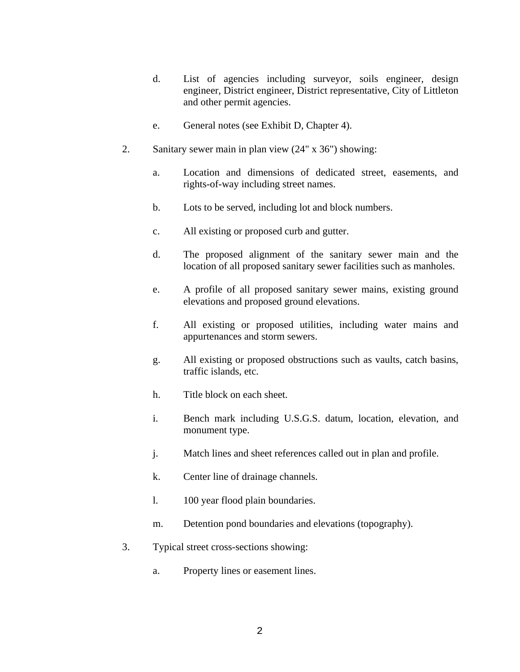- d. List of agencies including surveyor, soils engineer, design engineer, District engineer, District representative, City of Littleton and other permit agencies.
- e. General notes (see Exhibit D, Chapter 4).
- 2. Sanitary sewer main in plan view (24" x 36") showing:
	- a. Location and dimensions of dedicated street, easements, and rights-of-way including street names.
	- b. Lots to be served, including lot and block numbers.
	- c. All existing or proposed curb and gutter.
	- d. The proposed alignment of the sanitary sewer main and the location of all proposed sanitary sewer facilities such as manholes.
	- e. A profile of all proposed sanitary sewer mains, existing ground elevations and proposed ground elevations.
	- f. All existing or proposed utilities, including water mains and appurtenances and storm sewers.
	- g. All existing or proposed obstructions such as vaults, catch basins, traffic islands, etc.
	- h. Title block on each sheet.
	- i. Bench mark including U.S.G.S. datum, location, elevation, and monument type.
	- j. Match lines and sheet references called out in plan and profile.
	- k. Center line of drainage channels.
	- l. 100 year flood plain boundaries.
	- m. Detention pond boundaries and elevations (topography).
- 3. Typical street cross-sections showing:
	- a. Property lines or easement lines.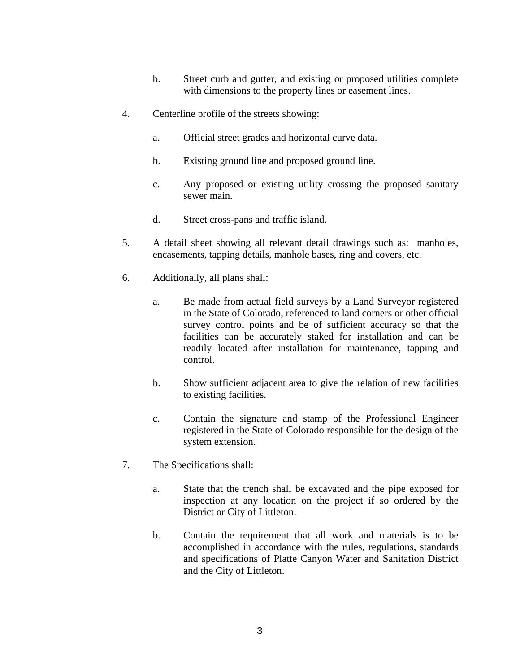- b. Street curb and gutter, and existing or proposed utilities complete with dimensions to the property lines or easement lines.
- 4. Centerline profile of the streets showing:
	- a. Official street grades and horizontal curve data.
	- b. Existing ground line and proposed ground line.
	- c. Any proposed or existing utility crossing the proposed sanitary sewer main.
	- d. Street cross-pans and traffic island.
- 5. A detail sheet showing all relevant detail drawings such as: manholes, encasements, tapping details, manhole bases, ring and covers, etc.
- 6. Additionally, all plans shall:
	- a. Be made from actual field surveys by a Land Surveyor registered in the State of Colorado, referenced to land corners or other official survey control points and be of sufficient accuracy so that the facilities can be accurately staked for installation and can be readily located after installation for maintenance, tapping and control.
	- b. Show sufficient adjacent area to give the relation of new facilities to existing facilities.
	- c. Contain the signature and stamp of the Professional Engineer registered in the State of Colorado responsible for the design of the system extension.
- 7. The Specifications shall:
	- a. State that the trench shall be excavated and the pipe exposed for inspection at any location on the project if so ordered by the District or City of Littleton.
	- b. Contain the requirement that all work and materials is to be accomplished in accordance with the rules, regulations, standards and specifications of Platte Canyon Water and Sanitation District and the City of Littleton.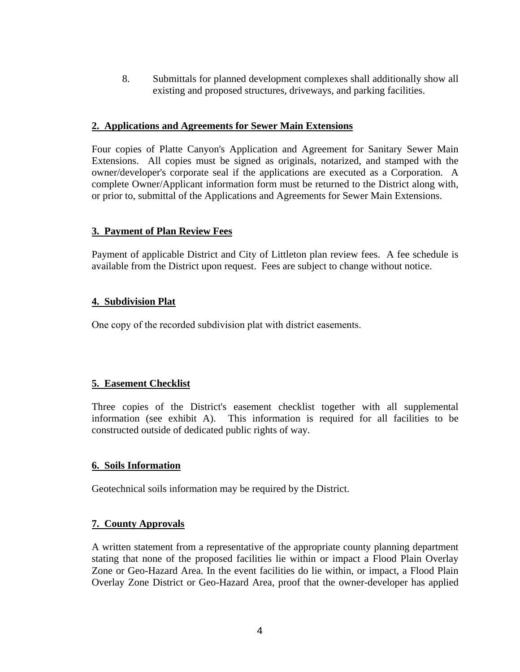8. Submittals for planned development complexes shall additionally show all existing and proposed structures, driveways, and parking facilities.

### **2. Applications and Agreements for Sewer Main Extensions**

Four copies of Platte Canyon's Application and Agreement for Sanitary Sewer Main Extensions. All copies must be signed as originals, notarized, and stamped with the owner/developer's corporate seal if the applications are executed as a Corporation. A complete Owner/Applicant information form must be returned to the District along with, or prior to, submittal of the Applications and Agreements for Sewer Main Extensions.

## **3. Payment of Plan Review Fees**

Payment of applicable District and City of Littleton plan review fees. A fee schedule is available from the District upon request. Fees are subject to change without notice.

## **4. Subdivision Plat**

One copy of the recorded subdivision plat with district easements.

## **5. Easement Checklist**

Three copies of the District's easement checklist together with all supplemental information (see exhibit A). This information is required for all facilities to be constructed outside of dedicated public rights of way.

#### **6. Soils Information**

Geotechnical soils information may be required by the District.

## **7. County Approvals**

A written statement from a representative of the appropriate county planning department stating that none of the proposed facilities lie within or impact a Flood Plain Overlay Zone or Geo-Hazard Area. In the event facilities do lie within, or impact, a Flood Plain Overlay Zone District or Geo-Hazard Area, proof that the owner-developer has applied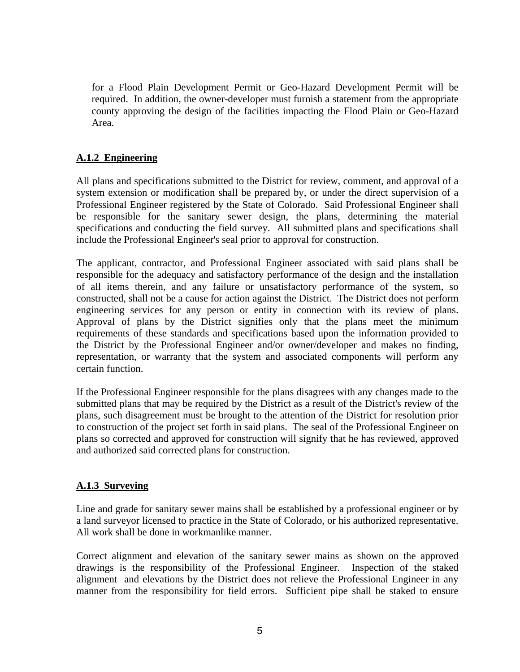for a Flood Plain Development Permit or Geo-Hazard Development Permit will be required. In addition, the owner-developer must furnish a statement from the appropriate county approving the design of the facilities impacting the Flood Plain or Geo-Hazard Area.

## **A.1.2 Engineering**

All plans and specifications submitted to the District for review, comment, and approval of a system extension or modification shall be prepared by, or under the direct supervision of a Professional Engineer registered by the State of Colorado. Said Professional Engineer shall be responsible for the sanitary sewer design, the plans, determining the material specifications and conducting the field survey. All submitted plans and specifications shall include the Professional Engineer's seal prior to approval for construction.

The applicant, contractor, and Professional Engineer associated with said plans shall be responsible for the adequacy and satisfactory performance of the design and the installation of all items therein, and any failure or unsatisfactory performance of the system, so constructed, shall not be a cause for action against the District. The District does not perform engineering services for any person or entity in connection with its review of plans. Approval of plans by the District signifies only that the plans meet the minimum requirements of these standards and specifications based upon the information provided to the District by the Professional Engineer and/or owner/developer and makes no finding, representation, or warranty that the system and associated components will perform any certain function.

If the Professional Engineer responsible for the plans disagrees with any changes made to the submitted plans that may be required by the District as a result of the District's review of the plans, such disagreement must be brought to the attention of the District for resolution prior to construction of the project set forth in said plans. The seal of the Professional Engineer on plans so corrected and approved for construction will signify that he has reviewed, approved and authorized said corrected plans for construction.

## **A.1.3 Surveying**

Line and grade for sanitary sewer mains shall be established by a professional engineer or by a land surveyor licensed to practice in the State of Colorado, or his authorized representative. All work shall be done in workmanlike manner.

Correct alignment and elevation of the sanitary sewer mains as shown on the approved drawings is the responsibility of the Professional Engineer. Inspection of the staked alignment and elevations by the District does not relieve the Professional Engineer in any manner from the responsibility for field errors. Sufficient pipe shall be staked to ensure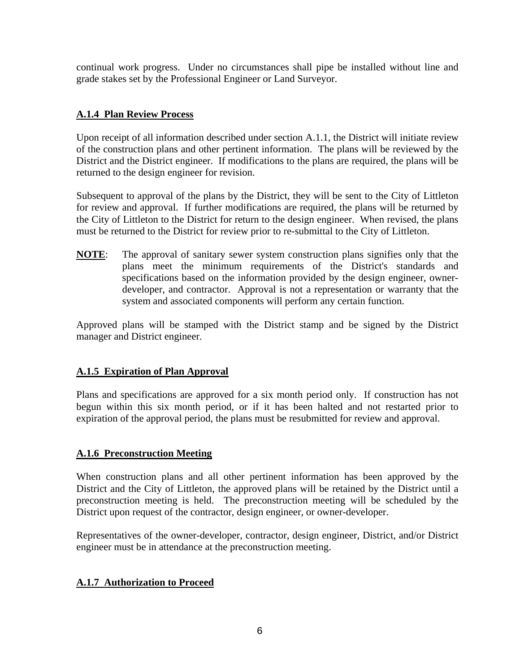continual work progress. Under no circumstances shall pipe be installed without line and grade stakes set by the Professional Engineer or Land Surveyor.

# **A.1.4 Plan Review Process**

Upon receipt of all information described under section A.1.1, the District will initiate review of the construction plans and other pertinent information. The plans will be reviewed by the District and the District engineer. If modifications to the plans are required, the plans will be returned to the design engineer for revision.

Subsequent to approval of the plans by the District, they will be sent to the City of Littleton for review and approval. If further modifications are required, the plans will be returned by the City of Littleton to the District for return to the design engineer. When revised, the plans must be returned to the District for review prior to re-submittal to the City of Littleton.

**NOTE**: The approval of sanitary sewer system construction plans signifies only that the plans meet the minimum requirements of the District's standards and specifications based on the information provided by the design engineer, ownerdeveloper, and contractor. Approval is not a representation or warranty that the system and associated components will perform any certain function.

Approved plans will be stamped with the District stamp and be signed by the District manager and District engineer.

## **A.1.5 Expiration of Plan Approval**

Plans and specifications are approved for a six month period only. If construction has not begun within this six month period, or if it has been halted and not restarted prior to expiration of the approval period, the plans must be resubmitted for review and approval.

## **A.1.6 Preconstruction Meeting**

When construction plans and all other pertinent information has been approved by the District and the City of Littleton, the approved plans will be retained by the District until a preconstruction meeting is held. The preconstruction meeting will be scheduled by the District upon request of the contractor, design engineer, or owner-developer.

Representatives of the owner-developer, contractor, design engineer, District, and/or District engineer must be in attendance at the preconstruction meeting.

## **A.1.7 Authorization to Proceed**